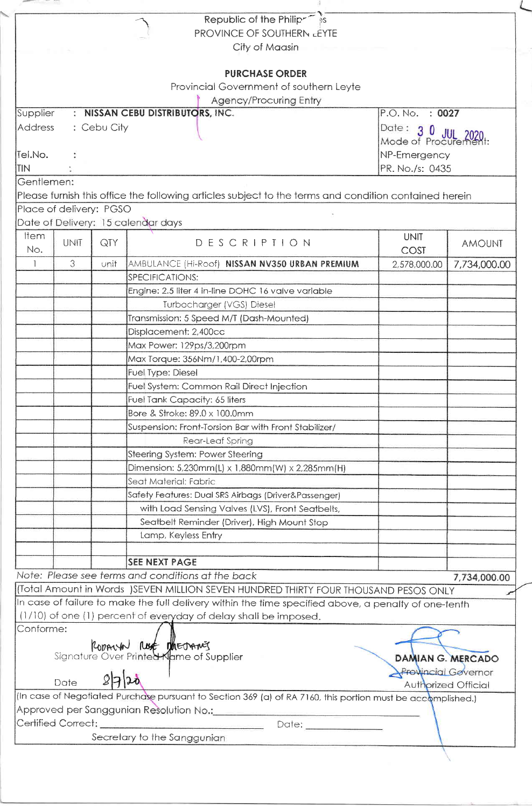|                                                                                                             |               |             | Republic of the Philipr <sup>-8</sup>                                                                                                                                                        |                           |               |  |  |  |
|-------------------------------------------------------------------------------------------------------------|---------------|-------------|----------------------------------------------------------------------------------------------------------------------------------------------------------------------------------------------|---------------------------|---------------|--|--|--|
|                                                                                                             |               |             | PROVINCE OF SOUTHERN LEYTE                                                                                                                                                                   |                           |               |  |  |  |
|                                                                                                             |               |             | City of Maasin                                                                                                                                                                               |                           |               |  |  |  |
|                                                                                                             |               |             |                                                                                                                                                                                              |                           |               |  |  |  |
| <b>PURCHASE ORDER</b>                                                                                       |               |             |                                                                                                                                                                                              |                           |               |  |  |  |
| Provincial Government of southern Leyte                                                                     |               |             |                                                                                                                                                                                              |                           |               |  |  |  |
| Agency/Procuring Entry<br>: NISSAN CEBU DISTRIBUTORS, INC.<br>P.O. No. : 0027                               |               |             |                                                                                                                                                                                              |                           |               |  |  |  |
| Supplier                                                                                                    |               |             |                                                                                                                                                                                              |                           |               |  |  |  |
| Address                                                                                                     |               | : Cebu City |                                                                                                                                                                                              | Date: $3$<br>$\mathbf{0}$ | .1111         |  |  |  |
|                                                                                                             |               |             |                                                                                                                                                                                              | Mode of Procuremen        |               |  |  |  |
| Tel.No.<br><b>TIN</b>                                                                                       |               |             |                                                                                                                                                                                              | NP-Emergency              |               |  |  |  |
| Gentlemen:                                                                                                  |               |             |                                                                                                                                                                                              | PR. No./s: 0435           |               |  |  |  |
|                                                                                                             |               |             | Please furnish this office the following articles subject to the terms and condition contained herein                                                                                        |                           |               |  |  |  |
| Place of delivery: PGSO                                                                                     |               |             |                                                                                                                                                                                              |                           |               |  |  |  |
|                                                                                                             |               |             | Date of Delivery: 15 calendar days                                                                                                                                                           |                           |               |  |  |  |
| Item                                                                                                        |               |             |                                                                                                                                                                                              | <b>UNIT</b>               |               |  |  |  |
| No.                                                                                                         | <b>UNIT</b>   | QTY         | DESCRIPTION                                                                                                                                                                                  | COST                      | <b>AMOUNT</b> |  |  |  |
| $\mathbf{1}$                                                                                                | $\mathcal{S}$ | unit        | AMBULANCE (Hi-Roof) NISSAN NV350 URBAN PREMIUM                                                                                                                                               | 2,578,000.00              | 7,734,000.00  |  |  |  |
|                                                                                                             |               |             | SPECIFICATIONS:                                                                                                                                                                              |                           |               |  |  |  |
|                                                                                                             |               |             | Engine: 2.5 liter 4 in-line DOHC 16 valve variable                                                                                                                                           |                           |               |  |  |  |
|                                                                                                             |               |             | Turbocharger (VGS) Diesel                                                                                                                                                                    |                           |               |  |  |  |
|                                                                                                             |               |             | Transmission: 5 Speed M/T (Dash-Mounted)                                                                                                                                                     |                           |               |  |  |  |
|                                                                                                             |               |             | Displacement: 2,400cc                                                                                                                                                                        |                           |               |  |  |  |
|                                                                                                             |               |             | Max Power: 129ps/3,200rpm                                                                                                                                                                    |                           |               |  |  |  |
|                                                                                                             |               |             | Max Torque: 356Nm/1,400-2,00rpm                                                                                                                                                              |                           |               |  |  |  |
|                                                                                                             |               |             | Fuel Type: Diesel                                                                                                                                                                            |                           |               |  |  |  |
|                                                                                                             |               |             | Fuel System: Common Rail Direct Injection                                                                                                                                                    |                           |               |  |  |  |
|                                                                                                             |               |             | Fuel Tank Capacity: 65 liters                                                                                                                                                                |                           |               |  |  |  |
|                                                                                                             |               |             | Bore & Stroke: 89.0 x 100.0mm                                                                                                                                                                |                           |               |  |  |  |
|                                                                                                             |               |             | Suspension: Front-Torsion Bar with Front Stabilizer/                                                                                                                                         |                           |               |  |  |  |
|                                                                                                             |               |             | Rear-Leaf Spring                                                                                                                                                                             |                           |               |  |  |  |
|                                                                                                             |               |             | Steering System: Power Steering                                                                                                                                                              |                           |               |  |  |  |
|                                                                                                             |               |             | Dimension: 5,230mm(L) x 1,880mm(W) x 2,285mm(H)                                                                                                                                              |                           |               |  |  |  |
|                                                                                                             |               |             | Seat Material: Fabric                                                                                                                                                                        |                           |               |  |  |  |
|                                                                                                             |               |             | Safety Features: Dual SRS Airbags (Driver&Passenger)                                                                                                                                         |                           |               |  |  |  |
|                                                                                                             |               |             | with Load Sensing Valves (LVS), Front Seatbelts,                                                                                                                                             |                           |               |  |  |  |
|                                                                                                             |               |             | Seatbelt Reminder (Driver), High Mount Stop                                                                                                                                                  |                           |               |  |  |  |
|                                                                                                             |               |             | Lamp, Keyless Entry                                                                                                                                                                          |                           |               |  |  |  |
|                                                                                                             |               |             |                                                                                                                                                                                              |                           |               |  |  |  |
|                                                                                                             |               |             | <b>SEE NEXT PAGE</b>                                                                                                                                                                         |                           |               |  |  |  |
|                                                                                                             |               |             | Note: Please see terms and conditions at the back                                                                                                                                            |                           | 7,734,000.00  |  |  |  |
|                                                                                                             |               |             | (Total Amount in Words ) SEVEN MILLION SEVEN HUNDRED THIRTY FOUR THOUSAND PESOS ONLY<br>In case of failure to make the full delivery within the time specified above, a penalty of one-tenth |                           |               |  |  |  |
|                                                                                                             |               |             | (1/10) of one (1) percent of everyday of delay shall be imposed.                                                                                                                             |                           |               |  |  |  |
| Conforme:                                                                                                   |               |             |                                                                                                                                                                                              |                           |               |  |  |  |
|                                                                                                             |               |             |                                                                                                                                                                                              |                           |               |  |  |  |
| Roppun Rust Theorenics<br>Signature Over Printed Kame of Supplier<br><b>DAMIAN G. MERCADO</b>               |               |             |                                                                                                                                                                                              |                           |               |  |  |  |
| <b>Provincial Governor</b>                                                                                  |               |             |                                                                                                                                                                                              |                           |               |  |  |  |
| 2720<br>Date<br><b>Authorized Official</b>                                                                  |               |             |                                                                                                                                                                                              |                           |               |  |  |  |
| (In case of Negotiated Purchase pursuant to Section 369 (a) of RA 7160, this portion must be accomplished.) |               |             |                                                                                                                                                                                              |                           |               |  |  |  |
| Approved per Sanggunian Resolution No.: Charlessen                                                          |               |             |                                                                                                                                                                                              |                           |               |  |  |  |
|                                                                                                             |               |             | Date: ________________                                                                                                                                                                       |                           |               |  |  |  |
| Secretary to the Sanggunian                                                                                 |               |             |                                                                                                                                                                                              |                           |               |  |  |  |
|                                                                                                             |               |             |                                                                                                                                                                                              |                           |               |  |  |  |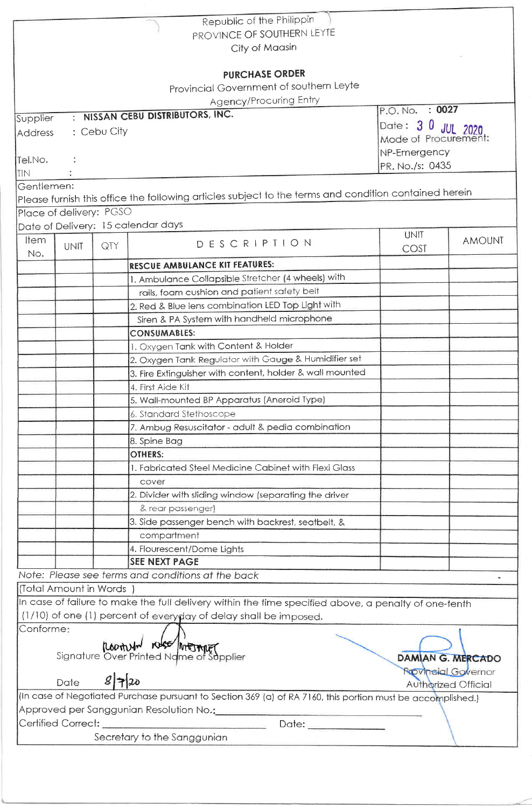|             |                               |      | Republic of the Philippin                                                                                   |                    |                            |  |  |
|-------------|-------------------------------|------|-------------------------------------------------------------------------------------------------------------|--------------------|----------------------------|--|--|
|             |                               |      | PROVINCE OF SOUTHERN LEYTE                                                                                  |                    |                            |  |  |
|             |                               |      | City of Maasin                                                                                              |                    |                            |  |  |
|             |                               |      |                                                                                                             |                    |                            |  |  |
|             |                               |      | <b>PURCHASE ORDER</b>                                                                                       |                    |                            |  |  |
|             |                               |      | Provincial Government of southern Leyte                                                                     |                    |                            |  |  |
|             |                               |      | Agency/Procuring Entry                                                                                      | P.O. No. : 0027    |                            |  |  |
| Supplier    |                               |      | : NISSAN CEBU DISTRIBUTORS, INC.                                                                            | Date: 3 0 JUL 2020 |                            |  |  |
|             | : Cebu City<br><b>Address</b> |      |                                                                                                             |                    | Mode of Procurement:       |  |  |
|             |                               |      |                                                                                                             | NP-Emergency       |                            |  |  |
| Tel.No.     |                               |      |                                                                                                             | PR. No./s: 0435    |                            |  |  |
| <b>TIN</b>  |                               |      |                                                                                                             |                    |                            |  |  |
| Gentlemen:  |                               |      |                                                                                                             |                    |                            |  |  |
|             |                               |      | Please furnish this office the following articles subject to the terms and condition contained herein       |                    |                            |  |  |
|             | Place of delivery: PGSO       |      |                                                                                                             |                    |                            |  |  |
|             |                               |      | Date of Delivery: 15 calendar days                                                                          |                    |                            |  |  |
| <b>Item</b> | <b>UNIT</b>                   | QTY  | DESCRIPTION                                                                                                 | <b>UNIT</b>        | <b>AMOUNT</b>              |  |  |
| No.         |                               |      |                                                                                                             | COST               |                            |  |  |
|             |                               |      | RESCUE AMBULANCE KIT FEATURES:                                                                              |                    |                            |  |  |
|             |                               |      | 1. Ambulance Collapsible Stretcher (4 wheels) with                                                          |                    |                            |  |  |
|             |                               |      | rails, foam cushion and patient safety belt                                                                 |                    |                            |  |  |
|             |                               |      | 2. Red & Blue lens combination LED Top Light with                                                           |                    |                            |  |  |
|             |                               |      | Siren & PA System with handheld microphone                                                                  |                    |                            |  |  |
|             |                               |      | <b>CONSUMABLES:</b>                                                                                         |                    |                            |  |  |
|             |                               |      | 1. Oxygen Tank with Content & Holder                                                                        |                    |                            |  |  |
|             |                               |      | 2. Oxygen Tank Regulator with Gauge & Humidifier set                                                        |                    |                            |  |  |
|             |                               |      | 3. Fire Extinguisher with content, holder & wall mounted                                                    |                    |                            |  |  |
|             |                               |      | 4. First Aide Kit                                                                                           |                    |                            |  |  |
|             |                               |      | 5. Wall-mounted BP Apparatus (Aneroid Type)                                                                 |                    |                            |  |  |
|             |                               |      | 6. Standard Stethoscope                                                                                     |                    |                            |  |  |
|             |                               |      | 7. Ambug Resuscitator - adult & pedia combination                                                           |                    |                            |  |  |
|             |                               |      | 8. Spine Bag                                                                                                |                    |                            |  |  |
|             |                               |      | <b>OTHERS:</b>                                                                                              |                    |                            |  |  |
|             |                               |      | 1. Fabricated Steel Medicine Cabinet with Flexi Glass                                                       |                    |                            |  |  |
|             |                               |      | cover                                                                                                       |                    |                            |  |  |
|             |                               |      | 2. Divider with sliding window (separating the driver                                                       |                    |                            |  |  |
|             |                               |      | & rear passenger)                                                                                           |                    |                            |  |  |
|             |                               |      | 3. Side passenger bench with backrest, seatbelt, &                                                          |                    |                            |  |  |
|             |                               |      | compartment                                                                                                 |                    |                            |  |  |
|             |                               |      | 4. Flourescent/Dome Lights                                                                                  |                    |                            |  |  |
|             |                               |      | <b>SEE NEXT PAGE</b>                                                                                        |                    |                            |  |  |
|             |                               |      | Note: Please see terms and conditions at the back                                                           |                    |                            |  |  |
|             | (Total Amount in Words        |      |                                                                                                             |                    |                            |  |  |
|             |                               |      | In case of failure to make the full delivery within the time specified above, a penalty of one-tenth        |                    |                            |  |  |
|             |                               |      | (1/10) of one (1) percent of everyday of delay shall be imposed.                                            |                    |                            |  |  |
| Conforme:   |                               |      |                                                                                                             |                    |                            |  |  |
|             |                               |      | <b>CONTRA KISS MARTIMET</b><br>Signature Over Printed Name of Supplier                                      |                    |                            |  |  |
|             |                               |      |                                                                                                             |                    | <b>DAMIAN G. MERCADO</b>   |  |  |
|             |                               |      |                                                                                                             |                    | <b>Rrovincial Governor</b> |  |  |
|             | Date                          | 8720 |                                                                                                             |                    | Authorized Official        |  |  |
|             |                               |      | (In case of Negotiated Purchase pursuant to Section 369 (a) of RA 7160, this portion must be accomplished.) |                    |                            |  |  |
|             |                               |      |                                                                                                             |                    |                            |  |  |
|             |                               |      |                                                                                                             |                    |                            |  |  |
|             |                               |      | Secretary to the Sanggunian                                                                                 |                    |                            |  |  |
|             |                               |      |                                                                                                             |                    |                            |  |  |